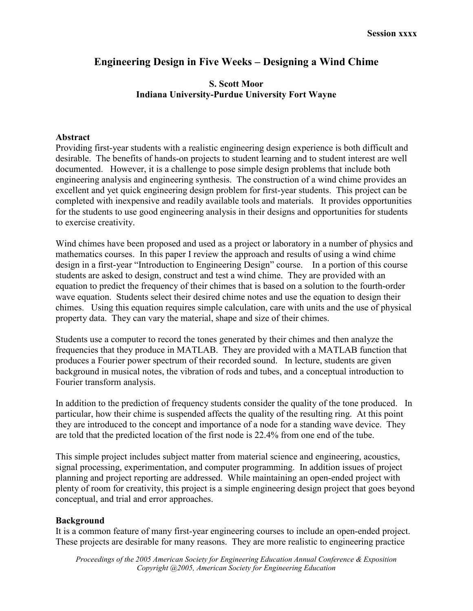# Engineering Design in Five Weeks – Designing a Wind Chime

### S. Scott Moor Indiana University-Purdue University Fort Wayne

#### Abstract

Providing first-year students with a realistic engineering design experience is both difficult and desirable. The benefits of hands-on projects to student learning and to student interest are well documented. However, it is a challenge to pose simple design problems that include both engineering analysis and engineering synthesis. The construction of a wind chime provides an excellent and yet quick engineering design problem for first-year students. This project can be completed with inexpensive and readily available tools and materials. It provides opportunities for the students to use good engineering analysis in their designs and opportunities for students to exercise creativity.

Wind chimes have been proposed and used as a project or laboratory in a number of physics and mathematics courses. In this paper I review the approach and results of using a wind chime design in a first-year "Introduction to Engineering Design" course. In a portion of this course students are asked to design, construct and test a wind chime. They are provided with an equation to predict the frequency of their chimes that is based on a solution to the fourth-order wave equation. Students select their desired chime notes and use the equation to design their chimes. Using this equation requires simple calculation, care with units and the use of physical property data. They can vary the material, shape and size of their chimes.

Students use a computer to record the tones generated by their chimes and then analyze the frequencies that they produce in MATLAB. They are provided with a MATLAB function that produces a Fourier power spectrum of their recorded sound. In lecture, students are given background in musical notes, the vibration of rods and tubes, and a conceptual introduction to Fourier transform analysis.

In addition to the prediction of frequency students consider the quality of the tone produced. In particular, how their chime is suspended affects the quality of the resulting ring. At this point they are introduced to the concept and importance of a node for a standing wave device. They are told that the predicted location of the first node is 22.4% from one end of the tube.

This simple project includes subject matter from material science and engineering, acoustics, signal processing, experimentation, and computer programming. In addition issues of project planning and project reporting are addressed. While maintaining an open-ended project with plenty of room for creativity, this project is a simple engineering design project that goes beyond conceptual, and trial and error approaches.

### Background

It is a common feature of many first-year engineering courses to include an open-ended project. These projects are desirable for many reasons. They are more realistic to engineering practice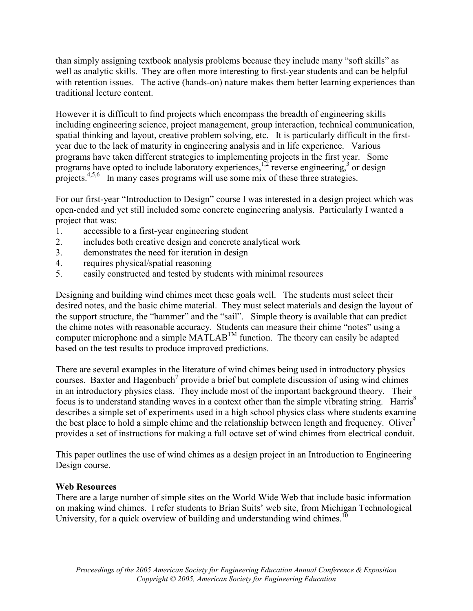than simply assigning textbook analysis problems because they include many "soft skills" as well as analytic skills. They are often more interesting to first-year students and can be helpful with retention issues. The active (hands-on) nature makes them better learning experiences than traditional lecture content.

However it is difficult to find projects which encompass the breadth of engineering skills including engineering science, project management, group interaction, technical communication, spatial thinking and layout, creative problem solving, etc. It is particularly difficult in the firstyear due to the lack of maturity in engineering analysis and in life experience. Various programs have taken different strategies to implementing projects in the first year. Some programs have opted to include laboratory experiences,  $\frac{1}{2}$  reverse engineering,<sup>3</sup> or design projects.<sup>4,5,6</sup> In many cases programs will use some mix of these three strategies.

For our first-year "Introduction to Design" course I was interested in a design project which was open-ended and yet still included some concrete engineering analysis. Particularly I wanted a project that was:

- 1. accessible to a first-year engineering student
- 2. includes both creative design and concrete analytical work
- 3. demonstrates the need for iteration in design
- 4. requires physical/spatial reasoning
- 5. easily constructed and tested by students with minimal resources

Designing and building wind chimes meet these goals well. The students must select their desired notes, and the basic chime material. They must select materials and design the layout of the support structure, the "hammer" and the "sail". Simple theory is available that can predict the chime notes with reasonable accuracy. Students can measure their chime "notes" using a computer microphone and a simple MATLAB<sup>TM</sup> function. The theory can easily be adapted based on the test results to produce improved predictions.

There are several examples in the literature of wind chimes being used in introductory physics courses. Baxter and Hagenbuch<sup>7</sup> provide a brief but complete discussion of using wind chimes in an introductory physics class. They include most of the important background theory. Their focus is to understand standing waves in a context other than the simple vibrating string. Harris<sup>8</sup> describes a simple set of experiments used in a high school physics class where students examine the best place to hold a simple chime and the relationship between length and frequency. Oliver<sup>9</sup> provides a set of instructions for making a full octave set of wind chimes from electrical conduit.

This paper outlines the use of wind chimes as a design project in an Introduction to Engineering Design course.

## Web Resources

There are a large number of simple sites on the World Wide Web that include basic information on making wind chimes. I refer students to Brian Suits' web site, from Michigan Technological University, for a quick overview of building and understanding wind chimes.<sup>10</sup>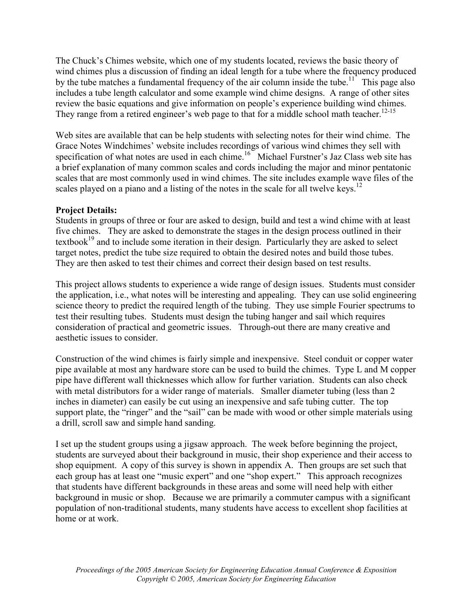The Chuck's Chimes website, which one of my students located, reviews the basic theory of wind chimes plus a discussion of finding an ideal length for a tube where the frequency produced by the tube matches a fundamental frequency of the air column inside the tube.<sup>11</sup> This page also includes a tube length calculator and some example wind chime designs. A range of other sites review the basic equations and give information on people's experience building wind chimes. They range from a retired engineer's web page to that for a middle school math teacher.<sup>12-15</sup>

Web sites are available that can be help students with selecting notes for their wind chime. The Grace Notes Windchimes' website includes recordings of various wind chimes they sell with specification of what notes are used in each chime.<sup>16</sup> Michael Furstner's Jaz Class web site has a brief explanation of many common scales and cords including the major and minor pentatonic scales that are most commonly used in wind chimes. The site includes example wave files of the scales played on a piano and a listing of the notes in the scale for all twelve keys.<sup>12</sup>

## Project Details:

Students in groups of three or four are asked to design, build and test a wind chime with at least five chimes. They are asked to demonstrate the stages in the design process outlined in their textbook<sup>19</sup> and to include some iteration in their design. Particularly they are asked to select target notes, predict the tube size required to obtain the desired notes and build those tubes. They are then asked to test their chimes and correct their design based on test results.

This project allows students to experience a wide range of design issues. Students must consider the application, i.e., what notes will be interesting and appealing. They can use solid engineering science theory to predict the required length of the tubing. They use simple Fourier spectrums to test their resulting tubes. Students must design the tubing hanger and sail which requires consideration of practical and geometric issues. Through-out there are many creative and aesthetic issues to consider.

Construction of the wind chimes is fairly simple and inexpensive. Steel conduit or copper water pipe available at most any hardware store can be used to build the chimes. Type L and M copper pipe have different wall thicknesses which allow for further variation. Students can also check with metal distributors for a wider range of materials. Smaller diameter tubing (less than 2) inches in diameter) can easily be cut using an inexpensive and safe tubing cutter. The top support plate, the "ringer" and the "sail" can be made with wood or other simple materials using a drill, scroll saw and simple hand sanding.

I set up the student groups using a jigsaw approach. The week before beginning the project, students are surveyed about their background in music, their shop experience and their access to shop equipment. A copy of this survey is shown in appendix A. Then groups are set such that each group has at least one "music expert" and one "shop expert." This approach recognizes that students have different backgrounds in these areas and some will need help with either background in music or shop. Because we are primarily a commuter campus with a significant population of non-traditional students, many students have access to excellent shop facilities at home or at work.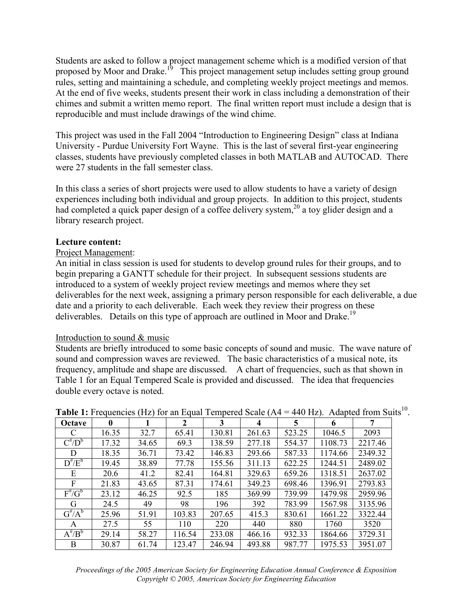Students are asked to follow a project management scheme which is a modified version of that proposed by Moor and Drake.<sup>19</sup> This project management setup includes setting group ground rules, setting and maintaining a schedule, and completing weekly project meetings and memos. At the end of five weeks, students present their work in class including a demonstration of their chimes and submit a written memo report. The final written report must include a design that is reproducible and must include drawings of the wind chime.

This project was used in the Fall 2004 "Introduction to Engineering Design" class at Indiana University - Purdue University Fort Wayne. This is the last of several first-year engineering classes, students have previously completed classes in both MATLAB and AUTOCAD. There were 27 students in the fall semester class.

In this class a series of short projects were used to allow students to have a variety of design experiences including both individual and group projects. In addition to this project, students had completed a quick paper design of a coffee delivery system,<sup>20</sup> a toy glider design and a library research project.

### Lecture content:

### Project Management:

An initial in class session is used for students to develop ground rules for their groups, and to begin preparing a GANTT schedule for their project. In subsequent sessions students are introduced to a system of weekly project review meetings and memos where they set deliverables for the next week, assigning a primary person responsible for each deliverable, a due date and a priority to each deliverable. Each week they review their progress on these deliverables. Details on this type of approach are outlined in Moor and Drake.<sup>19</sup>

### Introduction to sound & music

Students are briefly introduced to some basic concepts of sound and music. The wave nature of sound and compression waves are reviewed. The basic characteristics of a musical note, its frequency, amplitude and shape are discussed. A chart of frequencies, such as that shown in Table 1 for an Equal Tempered Scale is provided and discussed. The idea that frequencies double every octave is noted.

| Octave                  | $\mathbf{0}$ |       | 2      | 3      | 4      | 5      | 6       | 7       |
|-------------------------|--------------|-------|--------|--------|--------|--------|---------|---------|
| C                       | 16.35        | 32.7  | 65.41  | 130.81 | 261.63 | 523.25 | 1046.5  | 2093    |
| $C^{t}/D^{b}$           | 17.32        | 34.65 | 69.3   | 138.59 | 277.18 | 554.37 | 1108.73 | 2217.46 |
| D                       | 18.35        | 36.71 | 73.42  | 146.83 | 293.66 | 587.33 | 1174.66 | 2349.32 |
| $\overline{D}^{\#}/E^b$ | 19.45        | 38.89 | 77.78  | 155.56 | 311.13 | 622.25 | 1244.51 | 2489.02 |
| E                       | 20.6         | 41.2  | 82.41  | 164.81 | 329.63 | 659.26 | 1318.51 | 2637.02 |
| F                       | 21.83        | 43.65 | 87.31  | 174.61 | 349.23 | 698.46 | 1396.91 | 2793.83 |
| $F^{\#}/G^b$            | 23.12        | 46.25 | 92.5   | 185    | 369.99 | 739.99 | 1479.98 | 2959.96 |
| G                       | 24.5         | 49    | 98     | 196    | 392    | 783.99 | 1567.98 | 3135.96 |
| $G^{\#}/A^b$            | 25.96        | 51.91 | 103.83 | 207.65 | 415.3  | 830.61 | 1661.22 | 3322.44 |
| A                       | 27.5         | 55    | 110    | 220    | 440    | 880    | 1760    | 3520    |
| $\overline{A^{\#}/B^b}$ | 29.14        | 58.27 | 116.54 | 233.08 | 466.16 | 932.33 | 1864.66 | 3729.31 |
| B                       | 30.87        | 61.74 | 123.47 | 246.94 | 493.88 | 987.77 | 1975.53 | 3951.07 |

|  |  |  | <b>Table 1:</b> Frequencies (Hz) for an Equal Tempered Scale ( $A4 = 440$ Hz). Adapted from Suits <sup>10</sup> . |  |
|--|--|--|-------------------------------------------------------------------------------------------------------------------|--|
|  |  |  |                                                                                                                   |  |

Proceedings of the 2005 American Society for Engineering Education Annual Conference & Exposition Copyright © 2005, American Society for Engineering Education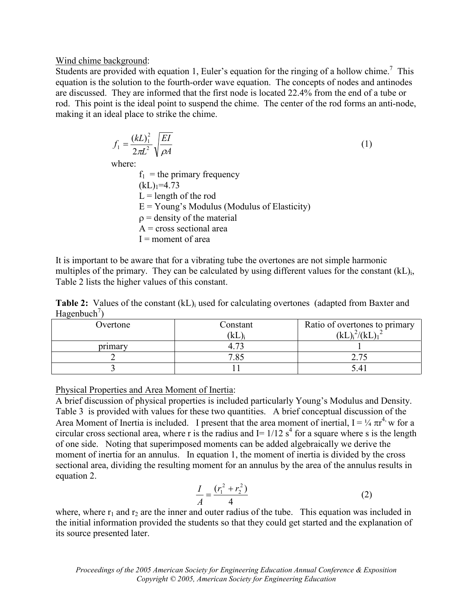### Wind chime background:

Students are provided with equation 1, Euler's equation for the ringing of a hollow chime.<sup>7</sup> This equation is the solution to the fourth-order wave equation. The concepts of nodes and antinodes are discussed. They are informed that the first node is located 22.4% from the end of a tube or rod. This point is the ideal point to suspend the chime. The center of the rod forms an anti-node, making it an ideal place to strike the chime.

$$
f_1 = \frac{(kL)_1^2}{2\pi L^2} \sqrt{\frac{EI}{\rho A}}
$$
  
where:  
 $f_1$  = the primary frequency  
 $(kL)_{1} = 4.73$   
 $L =$  length of the rod  
 $E =$  Young's Modulus (Modulus of Elasticity)  
 $\rho$  = density of the material  
 $A =$  cross sectional area  
 $I =$  moment of area

It is important to be aware that for a vibrating tube the overtones are not simple harmonic multiples of the primary. They can be calculated by using different values for the constant  $(kL)_{i}$ , Table 2 lists the higher values of this constant.

Table 2: Values of the constant (kL)<sub>i</sub> used for calculating overtones (adapted from Baxter and Hagenbuch<sup>7</sup>)

| Overtone | Constant<br>(kL | Ratio of overtones to primary<br>(kL) |
|----------|-----------------|---------------------------------------|
| primary  |                 |                                       |
|          | 705             | $\eta$ $\tau$                         |
|          |                 |                                       |

Physical Properties and Area Moment of Inertia:

A brief discussion of physical properties is included particularly Young's Modulus and Density. Table 3 is provided with values for these two quantities. A brief conceptual discussion of the Area Moment of Inertia is included. I present that the area moment of inertial,  $I = \frac{1}{4} \pi r^4$ , w for a circular cross sectional area, where r is the radius and  $I = 1/12$  s<sup>4</sup> for a square where s is the length of one side. Noting that superimposed moments can be added algebraically we derive the moment of inertia for an annulus. In equation 1, the moment of inertia is divided by the cross sectional area, dividing the resulting moment for an annulus by the area of the annulus results in equation 2.

$$
\frac{I}{A} = \frac{(r_1^2 + r_2^2)}{4}
$$
 (2)

where, where  $r_1$  and  $r_2$  are the inner and outer radius of the tube. This equation was included in the initial information provided the students so that they could get started and the explanation of its source presented later.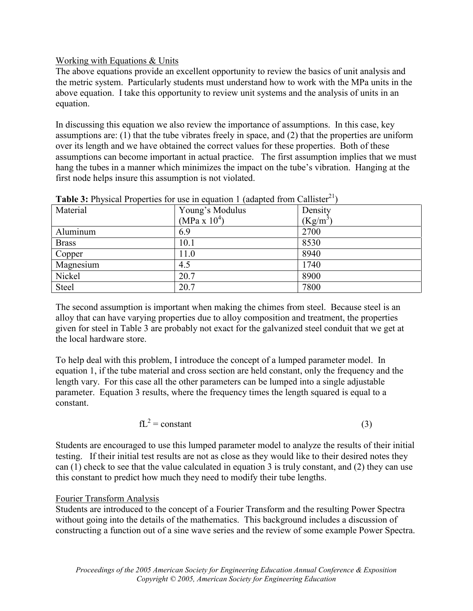## Working with Equations & Units

The above equations provide an excellent opportunity to review the basics of unit analysis and the metric system. Particularly students must understand how to work with the MPa units in the above equation. I take this opportunity to review unit systems and the analysis of units in an equation.

In discussing this equation we also review the importance of assumptions. In this case, key assumptions are: (1) that the tube vibrates freely in space, and (2) that the properties are uniform over its length and we have obtained the correct values for these properties. Both of these assumptions can become important in actual practice. The first assumption implies that we must hang the tubes in a manner which minimizes the impact on the tube's vibration. Hanging at the first node helps insure this assumption is not violated.

| Material     | Young's Modulus | Density    |
|--------------|-----------------|------------|
|              | (MPa x $10^4$ ) | $(Kg/m^3)$ |
| Aluminum     | 6.9             | 2700       |
| <b>Brass</b> | 10.1            | 8530       |
| Copper       | 11.0            | 8940       |
| Magnesium    | 4.5             | 1740       |
| Nickel       | 20.7            | 8900       |
| Steel        | 20.7            | 7800       |

|  |  |  | <b>Table 3:</b> Physical Properties for use in equation 1 (adapted from Callister <sup>21</sup> ) |
|--|--|--|---------------------------------------------------------------------------------------------------|
|  |  |  |                                                                                                   |

The second assumption is important when making the chimes from steel. Because steel is an alloy that can have varying properties due to alloy composition and treatment, the properties given for steel in Table 3 are probably not exact for the galvanized steel conduit that we get at the local hardware store.

To help deal with this problem, I introduce the concept of a lumped parameter model. In equation 1, if the tube material and cross section are held constant, only the frequency and the length vary. For this case all the other parameters can be lumped into a single adjustable parameter. Equation 3 results, where the frequency times the length squared is equal to a constant.

 $fL^2 = constant$  (3)

Students are encouraged to use this lumped parameter model to analyze the results of their initial testing. If their initial test results are not as close as they would like to their desired notes they can (1) check to see that the value calculated in equation 3 is truly constant, and (2) they can use this constant to predict how much they need to modify their tube lengths.

# Fourier Transform Analysis

Students are introduced to the concept of a Fourier Transform and the resulting Power Spectra without going into the details of the mathematics. This background includes a discussion of constructing a function out of a sine wave series and the review of some example Power Spectra.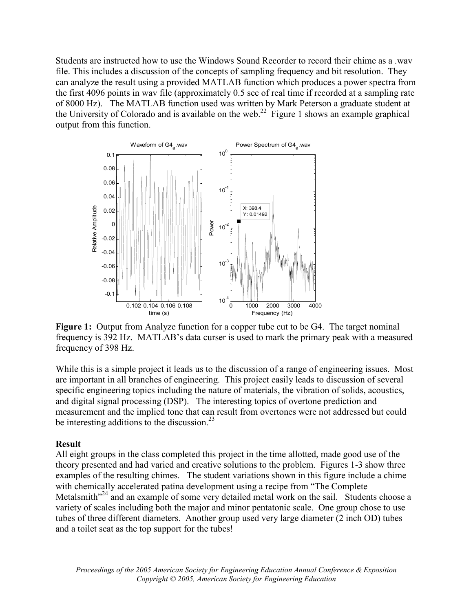Students are instructed how to use the Windows Sound Recorder to record their chime as a .wav file. This includes a discussion of the concepts of sampling frequency and bit resolution. They can analyze the result using a provided MATLAB function which produces a power spectra from the first 4096 points in wav file (approximately 0.5 sec of real time if recorded at a sampling rate of 8000 Hz). The MATLAB function used was written by Mark Peterson a graduate student at the University of Colorado and is available on the web.<sup>22</sup> Figure 1 shows an example graphical output from this function.



Figure 1: Output from Analyze function for a copper tube cut to be G4. The target nominal frequency is 392 Hz. MATLAB's data curser is used to mark the primary peak with a measured frequency of 398 Hz.

While this is a simple project it leads us to the discussion of a range of engineering issues. Most are important in all branches of engineering. This project easily leads to discussion of several specific engineering topics including the nature of materials, the vibration of solids, acoustics, and digital signal processing (DSP). The interesting topics of overtone prediction and measurement and the implied tone that can result from overtones were not addressed but could be interesting additions to the discussion.<sup>23</sup>

### Result

All eight groups in the class completed this project in the time allotted, made good use of the theory presented and had varied and creative solutions to the problem. Figures 1-3 show three examples of the resulting chimes. The student variations shown in this figure include a chime with chemically accelerated patina development using a recipe from "The Complete Metalsmith $^{224}$  and an example of some very detailed metal work on the sail. Students choose a variety of scales including both the major and minor pentatonic scale. One group chose to use tubes of three different diameters. Another group used very large diameter (2 inch OD) tubes and a toilet seat as the top support for the tubes!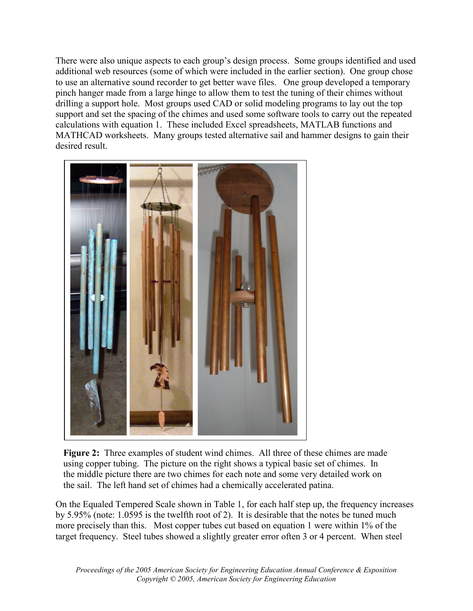There were also unique aspects to each group's design process. Some groups identified and used additional web resources (some of which were included in the earlier section). One group chose to use an alternative sound recorder to get better wave files. One group developed a temporary pinch hanger made from a large hinge to allow them to test the tuning of their chimes without drilling a support hole. Most groups used CAD or solid modeling programs to lay out the top support and set the spacing of the chimes and used some software tools to carry out the repeated calculations with equation 1. These included Excel spreadsheets, MATLAB functions and MATHCAD worksheets. Many groups tested alternative sail and hammer designs to gain their desired result.



Figure 2: Three examples of student wind chimes. All three of these chimes are made using copper tubing. The picture on the right shows a typical basic set of chimes. In the middle picture there are two chimes for each note and some very detailed work on the sail. The left hand set of chimes had a chemically accelerated patina.

On the Equaled Tempered Scale shown in Table 1, for each half step up, the frequency increases by 5.95% (note: 1.0595 is the twelfth root of 2). It is desirable that the notes be tuned much more precisely than this. Most copper tubes cut based on equation 1 were within 1% of the target frequency. Steel tubes showed a slightly greater error often 3 or 4 percent. When steel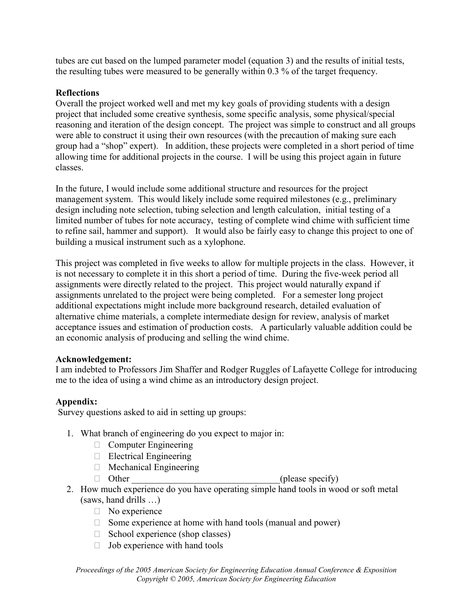tubes are cut based on the lumped parameter model (equation 3) and the results of initial tests, the resulting tubes were measured to be generally within 0.3 % of the target frequency.

# **Reflections**

Overall the project worked well and met my key goals of providing students with a design project that included some creative synthesis, some specific analysis, some physical/special reasoning and iteration of the design concept. The project was simple to construct and all groups were able to construct it using their own resources (with the precaution of making sure each group had a "shop" expert). In addition, these projects were completed in a short period of time allowing time for additional projects in the course. I will be using this project again in future classes.

In the future, I would include some additional structure and resources for the project management system. This would likely include some required milestones (e.g., preliminary design including note selection, tubing selection and length calculation, initial testing of a limited number of tubes for note accuracy, testing of complete wind chime with sufficient time to refine sail, hammer and support). It would also be fairly easy to change this project to one of building a musical instrument such as a xylophone.

This project was completed in five weeks to allow for multiple projects in the class. However, it is not necessary to complete it in this short a period of time. During the five-week period all assignments were directly related to the project. This project would naturally expand if assignments unrelated to the project were being completed. For a semester long project additional expectations might include more background research, detailed evaluation of alternative chime materials, a complete intermediate design for review, analysis of market acceptance issues and estimation of production costs. A particularly valuable addition could be an economic analysis of producing and selling the wind chime.

## Acknowledgement:

I am indebted to Professors Jim Shaffer and Rodger Ruggles of Lafayette College for introducing me to the idea of using a wind chime as an introductory design project.

# Appendix:

Survey questions asked to aid in setting up groups:

- 1. What branch of engineering do you expect to major in:
	- $\Box$  Computer Engineering
	- $\Box$  Electrical Engineering
	- $\Box$  Mechanical Engineering
	-

 $\Box$  Other (please specify)

- 2. How much experience do you have operating simple hand tools in wood or soft metal (saws, hand drills …)
	- $\Box$  No experience
	- $\Box$  Some experience at home with hand tools (manual and power)
	- $\Box$  School experience (shop classes)
	- $\Box$  Job experience with hand tools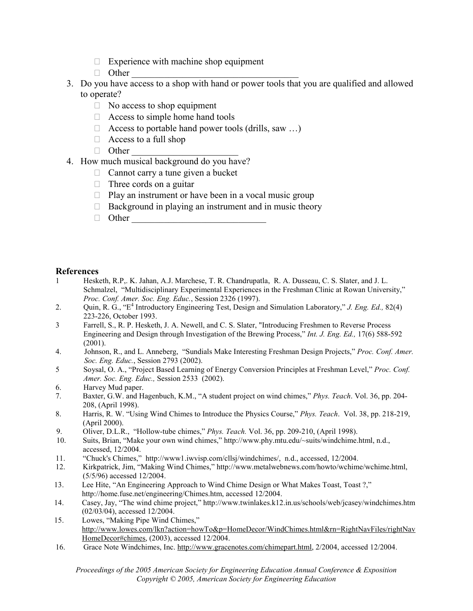- $\Box$  Experience with machine shop equipment
- $\Box$  Other
- 3. Do you have access to a shop with hand or power tools that you are qualified and allowed to operate?
	- $\Box$  No access to shop equipment
	- $\Box$  Access to simple home hand tools
	- $\Box$  Access to portable hand power tools (drills, saw ...)
	- $\Box$  Access to a full shop
	- $\Box$  Other
- 4. How much musical background do you have?
	- $\Box$  Cannot carry a tune given a bucket
	- $\Box$  Three cords on a guitar
	- $\Box$  Play an instrument or have been in a vocal music group
	- $\Box$  Background in playing an instrument and in music theory
	- Other \_\_\_\_\_\_\_\_\_\_\_\_\_\_\_\_\_\_\_\_\_\_\_\_\_\_\_\_\_

### References

- 1 Hesketh, R.P,. K. Jahan, A.J. Marchese, T. R. Chandrupatla, R. A. Dusseau, C. S. Slater, and J. L. Schmalzel, "Multidisciplinary Experimental Experiences in the Freshman Clinic at Rowan University," Proc. Conf. Amer. Soc. Eng. Educ., Session 2326 (1997).
- 2. Quin, R. G., " $E^4$  Introductory Engineering Test, Design and Simulation Laboratory," J. Eng. Ed., 82(4) 223-226, October 1993.
- 3 Farrell, S., R. P. Hesketh, J. A. Newell, and C. S. Slater, "Introducing Freshmen to Reverse Process Engineering and Design through Investigation of the Brewing Process," Int. J. Eng. Ed., 17(6) 588-592 (2001).
- 4. Johnson, R., and L. Anneberg, "Sundials Make Interesting Freshman Design Projects," Proc. Conf. Amer. Soc. Eng. Educ., Session 2793 (2002).
- 5 Soysal, O. A., "Project Based Learning of Energy Conversion Principles at Freshman Level," Proc. Conf. Amer. Soc. Eng. Educ., Session 2533 (2002).
- 6. Harvey Mud paper.
- 7. Baxter, G.W. and Hagenbuch, K.M., "A student project on wind chimes," Phys. Teach. Vol. 36, pp. 204- 208, (April 1998).
- 8. Harris, R. W. "Using Wind Chimes to Introduce the Physics Course," Phys. Teach. Vol. 38, pp. 218-219, (April 2000).
- 9. Oliver, D.L.R., "Hollow-tube chimes," Phys. Teach. Vol. 36, pp. 209-210, (April 1998).
- 10. Suits, Brian, "Make your own wind chimes," http://www.phy.mtu.edu/~suits/windchime.html, n.d., accessed, 12/2004.
- 11. "Chuck's Chimes," http://www1.iwvisp.com/cllsj/windchimes/, n.d., accessed, 12/2004.
- 12. Kirkpatrick, Jim, "Making Wind Chimes," http://www.metalwebnews.com/howto/wchime/wchime.html, (5/5/96) accessed 12/2004.
- 13. Lee Hite, "An Engineering Approach to Wind Chime Design or What Makes Toast, Toast ?," http://home.fuse.net/engineering/Chimes.htm, accessed 12/2004.
- 14. Casey, Jay, "The wind chime project," http://www.twinlakes.k12.in.us/schools/web/jcasey/windchimes.htm (02/03/04), accessed 12/2004.
- 15. Lowes, "Making Pipe Wind Chimes," http://www.lowes.com/lkn?action=howTo&p=HomeDecor/WindChimes.html&rn=RightNavFiles/rightNav HomeDecor#chimes, (2003), accessed 12/2004.
- 16. Grace Note Windchimes, Inc. http://www.gracenotes.com/chimepart.html, 2/2004, accessed 12/2004.